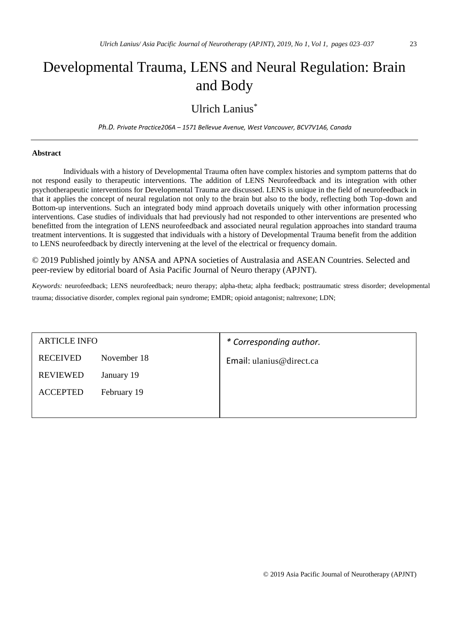# Developmental Trauma, LENS and Neural Regulation: Brain and Body

### Ulrich Lanius\*

*Ph.D. Private Practice206A – 1571 Bellevue Avenue, West Vancouver, BCV7V1A6, Canada*

#### **Abstract**

Individuals with a history of Developmental Trauma often have complex histories and symptom patterns that do not respond easily to therapeutic interventions. The addition of LENS Neurofeedback and its integration with other psychotherapeutic interventions for Developmental Trauma are discussed. LENS is unique in the field of neurofeedback in that it applies the concept of neural regulation not only to the brain but also to the body, reflecting both Top-down and Bottom-up interventions. Such an integrated body mind approach dovetails uniquely with other information processing interventions. Case studies of individuals that had previously had not responded to other interventions are presented who benefitted from the integration of LENS neurofeedback and associated neural regulation approaches into standard trauma treatment interventions. It is suggested that individuals with a history of Developmental Trauma benefit from the addition to LENS neurofeedback by directly intervening at the level of the electrical or frequency domain.

© 2019 Published jointly by ANSA and APNA societies of Australasia and ASEAN Countries. Selected and peer-review by editorial board of Asia Pacific Journal of Neuro therapy (APJNT).

*Keywords:* neurofeedback; LENS neurofeedback; neuro therapy; alpha-theta; alpha feedback; posttraumatic stress disorder; developmental trauma; dissociative disorder, complex regional pain syndrome; EMDR; opioid antagonist; naltrexone; LDN;

| <b>ARTICLE INFO</b> |             | * Corresponding author.  |  |  |  |
|---------------------|-------------|--------------------------|--|--|--|
| <b>RECEIVED</b>     | November 18 | Email: ulanius@direct.ca |  |  |  |
| <b>REVIEWED</b>     | January 19  |                          |  |  |  |
| <b>ACCEPTED</b>     | February 19 |                          |  |  |  |
|                     |             |                          |  |  |  |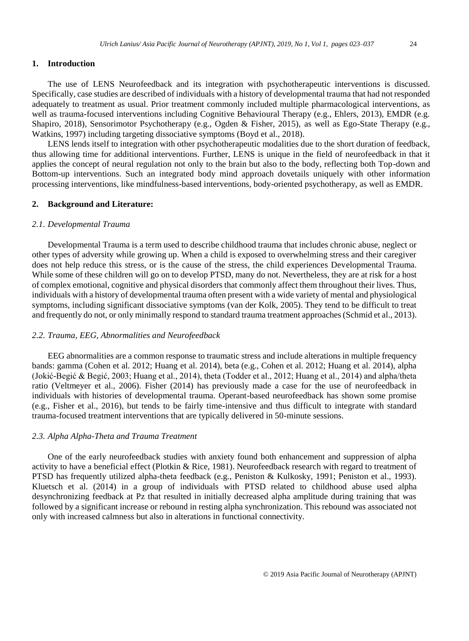#### **1. Introduction**

The use of LENS Neurofeedback and its integration with psychotherapeutic interventions is discussed. Specifically, case studies are described of individuals with a history of developmental trauma that had not responded adequately to treatment as usual. Prior treatment commonly included multiple pharmacological interventions, as well as trauma-focused interventions including Cognitive Behavioural Therapy (e.g., Ehlers, 2013), EMDR (e.g. Shapiro, 2018), Sensorimotor Psychotherapy (e.g., Ogden & Fisher, 2015), as well as Ego-State Therapy (e.g., Watkins, 1997) including targeting dissociative symptoms (Boyd et al., 2018).

LENS lends itself to integration with other psychotherapeutic modalities due to the short duration of feedback, thus allowing time for additional interventions. Further, LENS is unique in the field of neurofeedback in that it applies the concept of neural regulation not only to the brain but also to the body, reflecting both Top-down and Bottom-up interventions. Such an integrated body mind approach dovetails uniquely with other information processing interventions, like mindfulness-based interventions, body-oriented psychotherapy, as well as EMDR.

#### **2. Background and Literature:**

#### *2.1. Developmental Trauma*

Developmental Trauma is a term used to describe childhood trauma that includes chronic abuse, neglect or other types of adversity while growing up. When a child is exposed to overwhelming stress and their caregiver does not help reduce this stress, or is the cause of the stress, the child experiences Developmental Trauma. While some of these children will go on to develop PTSD, many do not. Nevertheless, they are at risk for a host of complex emotional, cognitive and physical disorders that commonly affect them throughout their lives. Thus, individuals with a history of developmental trauma often present with a wide variety of mental and physiological symptoms, including significant dissociative symptoms (van der Kolk, 2005). They tend to be difficult to treat and frequently do not, or only minimally respond to standard trauma treatment approaches (Schmid et al., 2013).

#### *2.2. Trauma, EEG, Abnormalities and Neurofeedback*

EEG abnormalities are a common response to traumatic stress and include alterations in multiple frequency bands: gamma (Cohen et al. 2012; Huang et al. 2014), beta (e.g., Cohen et al. 2012; Huang et al. 2014), alpha (Jokić-Begić & Begić, 2003; Huang et al., 2014), theta (Todder et al., 2012; Huang et al., 2014) and alpha/theta ratio (Veltmeyer et al., 2006). Fisher (2014) has previously made a case for the use of neurofeedback in individuals with histories of developmental trauma. Operant-based neurofeedback has shown some promise (e.g., Fisher et al., 2016), but tends to be fairly time-intensive and thus difficult to integrate with standard trauma-focused treatment interventions that are typically delivered in 50-minute sessions.

#### *2.3. Alpha Alpha-Theta and Trauma Treatment*

One of the early neurofeedback studies with anxiety found both enhancement and suppression of alpha activity to have a beneficial effect (Plotkin & Rice, 1981). Neurofeedback research with regard to treatment of PTSD has frequently utilized alpha-theta feedback (e.g., Peniston & Kulkosky, 1991; Peniston et al., 1993). Kluetsch et al. (2014) in a group of individuals with PTSD related to childhood abuse used alpha desynchronizing feedback at Pz that resulted in initially decreased alpha amplitude during training that was followed by a significant increase or rebound in resting alpha synchronization. This rebound was associated not only with increased calmness but also in alterations in functional connectivity.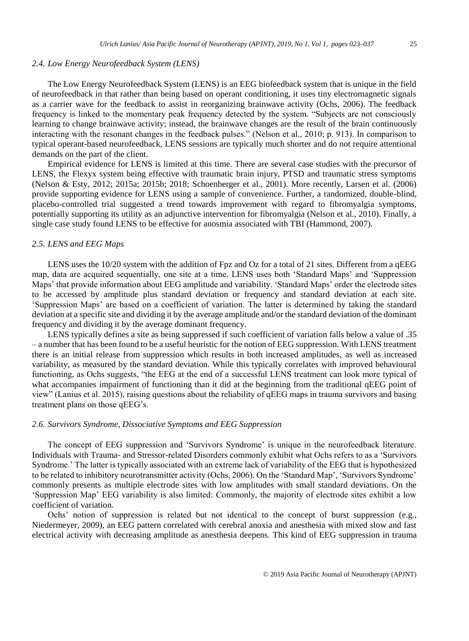#### *2.4. Low Energy Neurofeedback System (LENS)*

The Low Energy Neurofeedback System (LENS) is an EEG biofeedback system that is unique in the field of neurofeedback in that rather than being based on operant conditioning, it uses tiny electromagnetic signals as a carrier wave for the feedback to assist in reorganizing brainwave activity (Ochs, 2006). The feedback frequency is linked to the momentary peak frequency detected by the system. "Subjects are not consciously learning to change brainwave activity; instead, the brainwave changes are the result of the brain continuously interacting with the resonant changes in the feedback pulses." (Nelson et al., 2010; p. 913). In comparison to typical operant-based neurofeedback, LENS sessions are typically much shorter and do not require attentional demands on the part of the client.

Empirical evidence for LENS is limited at this time. There are several case studies with the precursor of LENS, the Flexyx system being effective with traumatic brain injury, PTSD and traumatic stress symptoms (Nelson & Esty, 2012; 2015a; 2015b; 2018; Schoenberger et al., 2001). More recently, Larsen et al. (2006) provide supporting evidence for LENS using a sample of convenience. Further, a randomized, double-blind, placebo-controlled trial suggested a trend towards improvement with regard to fibromyalgia symptoms, potentially supporting its utility as an adjunctive intervention for fibromyalgia (Nelson et al., 2010). Finally, a single case study found LENS to be effective for anosmia associated with TBI (Hammond, 2007).

#### *2.5. LENS and EEG Maps*

LENS uses the 10/20 system with the addition of Fpz and Oz for a total of 21 sites. Different from a qEEG map, data are acquired sequentially, one site at a time. LENS uses both 'Standard Maps' and 'Suppression Maps' that provide information about EEG amplitude and variability. 'Standard Maps' order the electrode sites to be accessed by amplitude plus standard deviation or frequency and standard deviation at each site. 'Suppression Maps' are based on a coefficient of variation. The latter is determined by taking the standard deviation at a specific site and dividing it by the average amplitude and/or the standard deviation of the dominant frequency and dividing it by the average dominant frequency.

LENS typically defines a site as being suppressed if such coefficient of variation falls below a value of .35 – a number that has been found to be a useful heuristic for the notion of EEG suppression. With LENS treatment there is an initial release from suppression which results in both increased amplitudes, as well as increased variability, as measured by the standard deviation. While this typically correlates with improved behavioural functioning, as Ochs suggests, "the EEG at the end of a successful LENS treatment can look more typical of what accompanies impairment of functioning than it did at the beginning from the traditional qEEG point of view" (Lanius et al. 2015), raising questions about the reliability of qEEG maps in trauma survivors and basing treatment plans on those qEEG's.

#### *2.6. Survivors Syndrome, Dissociative Symptoms and EEG Suppression*

The concept of EEG suppression and 'Survivors Syndrome' is unique in the neurofeedback literature. Individuals with Trauma- and Stressor-related Disorders commonly exhibit what Ochs refers to as a 'Survivors Syndrome.' The latter is typically associated with an extreme lack of variability of the EEG that is hypothesized to be related to inhibitory neurotransmitter activity (Ochs, 2006). On the 'Standard Map', 'Survivors Syndrome' commonly presents as multiple electrode sites with low amplitudes with small standard deviations. On the 'Suppression Map' EEG variability is also limited: Commonly, the majority of electrode sites exhibit a low coefficient of variation.

Ochs' notion of suppression is related but not identical to the concept of burst suppression (e.g., Niedermeyer, 2009), an EEG pattern correlated with cerebral anoxia and anesthesia with mixed slow and fast electrical activity with decreasing amplitude as anesthesia deepens. This kind of EEG suppression in trauma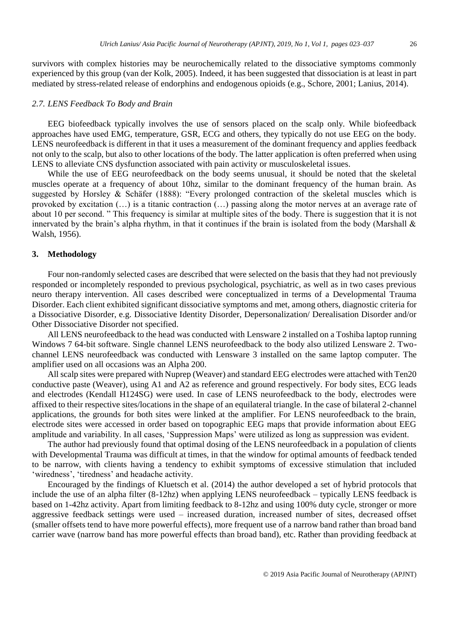survivors with complex histories may be neurochemically related to the dissociative symptoms commonly experienced by this group (van der Kolk, 2005). Indeed, it has been suggested that dissociation is at least in part mediated by stress-related release of endorphins and endogenous opioids (e.g., Schore, 2001; Lanius, 2014).

#### *2.7. LENS Feedback To Body and Brain*

EEG biofeedback typically involves the use of sensors placed on the scalp only. While biofeedback approaches have used EMG, temperature, GSR, ECG and others, they typically do not use EEG on the body. LENS neurofeedback is different in that it uses a measurement of the dominant frequency and applies feedback not only to the scalp, but also to other locations of the body. The latter application is often preferred when using LENS to alleviate CNS dysfunction associated with pain activity or musculoskeletal issues.

While the use of EEG neurofeedback on the body seems unusual, it should be noted that the skeletal muscles operate at a frequency of about 10hz, similar to the dominant frequency of the human brain. As suggested by Horsley & Schäfer (1888): "Every prolonged contraction of the skeletal muscles which is provoked by excitation (…) is a titanic contraction (…) passing along the motor nerves at an average rate of about 10 per second. " This frequency is similar at multiple sites of the body. There is suggestion that it is not innervated by the brain's alpha rhythm, in that it continues if the brain is isolated from the body (Marshall  $\&$ Walsh, 1956).

#### **3. Methodology**

Four non-randomly selected cases are described that were selected on the basis that they had not previously responded or incompletely responded to previous psychological, psychiatric, as well as in two cases previous neuro therapy intervention. All cases described were conceptualized in terms of a Developmental Trauma Disorder. Each client exhibited significant dissociative symptoms and met, among others, diagnostic criteria for a Dissociative Disorder, e.g. Dissociative Identity Disorder, Depersonalization/ Derealisation Disorder and/or Other Dissociative Disorder not specified.

All LENS neurofeedback to the head was conducted with Lensware 2 installed on a Toshiba laptop running Windows 7 64-bit software. Single channel LENS neurofeedback to the body also utilized Lensware 2. Twochannel LENS neurofeedback was conducted with Lensware 3 installed on the same laptop computer. The amplifier used on all occasions was an Alpha 200.

All scalp sites were prepared with Nuprep (Weaver) and standard EEG electrodes were attached with Ten20 conductive paste (Weaver), using A1 and A2 as reference and ground respectively. For body sites, ECG leads and electrodes (Kendall H124SG) were used. In case of LENS neurofeedback to the body, electrodes were affixed to their respective sites/locations in the shape of an equilateral triangle. In the case of bilateral 2-channel applications, the grounds for both sites were linked at the amplifier. For LENS neurofeedback to the brain, electrode sites were accessed in order based on topographic EEG maps that provide information about EEG amplitude and variability. In all cases, 'Suppression Maps' were utilized as long as suppression was evident.

The author had previously found that optimal dosing of the LENS neurofeedback in a population of clients with Developmental Trauma was difficult at times, in that the window for optimal amounts of feedback tended to be narrow, with clients having a tendency to exhibit symptoms of excessive stimulation that included 'wiredness', 'tiredness' and headache activity.

Encouraged by the findings of Kluetsch et al. (2014) the author developed a set of hybrid protocols that include the use of an alpha filter (8-12hz) when applying LENS neurofeedback – typically LENS feedback is based on 1-42hz activity. Apart from limiting feedback to 8-12hz and using 100% duty cycle, stronger or more aggressive feedback settings were used – increased duration, increased number of sites, decreased offset (smaller offsets tend to have more powerful effects), more frequent use of a narrow band rather than broad band carrier wave (narrow band has more powerful effects than broad band), etc. Rather than providing feedback at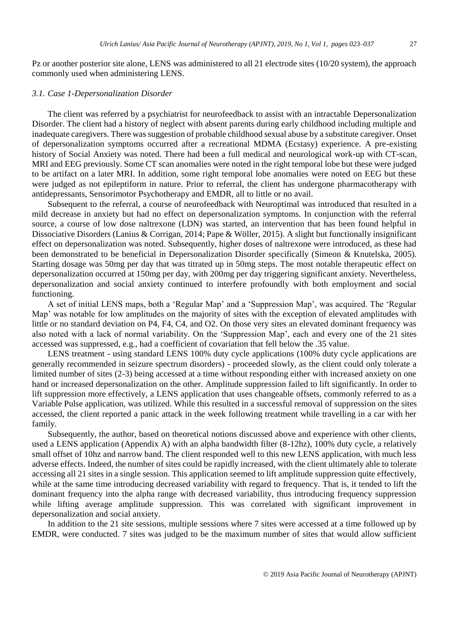Pz or another posterior site alone, LENS was administered to all 21 electrode sites (10/20 system), the approach commonly used when administering LENS.

#### *3.1. Case 1-Depersonalization Disorder*

The client was referred by a psychiatrist for neurofeedback to assist with an intractable Depersonalization Disorder. The client had a history of neglect with absent parents during early childhood including multiple and inadequate caregivers. There was suggestion of probable childhood sexual abuse by a substitute caregiver. Onset of depersonalization symptoms occurred after a recreational MDMA (Ecstasy) experience. A pre-existing history of Social Anxiety was noted. There had been a full medical and neurological work-up with CT-scan, MRI and EEG previously. Some CT scan anomalies were noted in the right temporal lobe but these were judged to be artifact on a later MRI. In addition, some right temporal lobe anomalies were noted on EEG but these were judged as not epileptiform in nature. Prior to referral, the client has undergone pharmacotherapy with antidepressants, Sensorimotor Psychotherapy and EMDR, all to little or no avail.

Subsequent to the referral, a course of neurofeedback with Neuroptimal was introduced that resulted in a mild decrease in anxiety but had no effect on depersonalization symptoms. In conjunction with the referral source, a course of low dose naltrexone (LDN) was started, an intervention that has been found helpful in Dissociative Disorders (Lanius & Corrigan, 2014; Pape & Wöller, 2015). A slight but functionally insignificant effect on depersonalization was noted. Subsequently, higher doses of naltrexone were introduced, as these had been demonstrated to be beneficial in Depersonalization Disorder specifically (Simeon & Knutelska, 2005). Starting dosage was 50mg per day that was titrated up in 50mg steps. The most notable therapeutic effect on depersonalization occurred at 150mg per day, with 200mg per day triggering significant anxiety. Nevertheless, depersonalization and social anxiety continued to interfere profoundly with both employment and social functioning.

A set of initial LENS maps, both a 'Regular Map' and a 'Suppression Map', was acquired. The 'Regular Map' was notable for low amplitudes on the majority of sites with the exception of elevated amplitudes with little or no standard deviation on P4, F4, C4, and O2. On those very sites an elevated dominant frequency was also noted with a lack of normal variability. On the 'Suppression Map', each and every one of the 21 sites accessed was suppressed, e.g., had a coefficient of covariation that fell below the .35 value.

LENS treatment - using standard LENS 100% duty cycle applications (100% duty cycle applications are generally recommended in seizure spectrum disorders) - proceeded slowly, as the client could only tolerate a limited number of sites (2-3) being accessed at a time without responding either with increased anxiety on one hand or increased depersonalization on the other. Amplitude suppression failed to lift significantly. In order to lift suppression more effectively, a LENS application that uses changeable offsets, commonly referred to as a Variable Pulse application, was utilized. While this resulted in a successful removal of suppression on the sites accessed, the client reported a panic attack in the week following treatment while travelling in a car with her family.

Subsequently, the author, based on theoretical notions discussed above and experience with other clients, used a LENS application (Appendix A) with an alpha bandwidth filter (8-12hz), 100% duty cycle, a relatively small offset of 10hz and narrow band. The client responded well to this new LENS application, with much less adverse effects. Indeed, the number of sites could be rapidly increased, with the client ultimately able to tolerate accessing all 21 sites in a single session. This application seemed to lift amplitude suppression quite effectively, while at the same time introducing decreased variability with regard to frequency. That is, it tended to lift the dominant frequency into the alpha range with decreased variability, thus introducing frequency suppression while lifting average amplitude suppression. This was correlated with significant improvement in depersonalization and social anxiety.

In addition to the 21 site sessions, multiple sessions where 7 sites were accessed at a time followed up by EMDR, were conducted. 7 sites was judged to be the maximum number of sites that would allow sufficient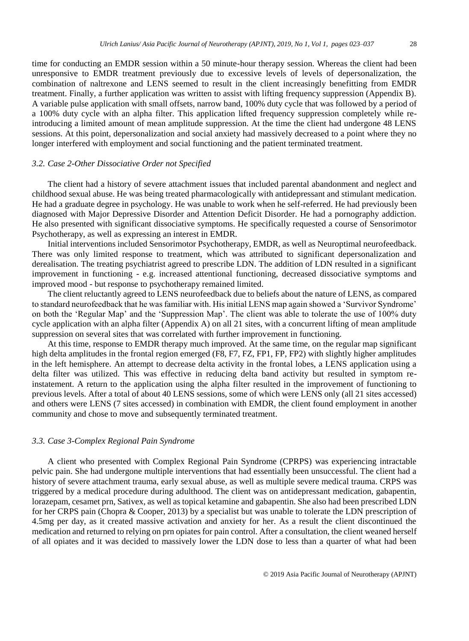time for conducting an EMDR session within a 50 minute-hour therapy session. Whereas the client had been unresponsive to EMDR treatment previously due to excessive levels of levels of depersonalization, the combination of naltrexone and LENS seemed to result in the client increasingly benefitting from EMDR treatment. Finally, a further application was written to assist with lifting frequency suppression (Appendix B). A variable pulse application with small offsets, narrow band, 100% duty cycle that was followed by a period of a 100% duty cycle with an alpha filter. This application lifted frequency suppression completely while reintroducing a limited amount of mean amplitude suppression. At the time the client had undergone 48 LENS sessions. At this point, depersonalization and social anxiety had massively decreased to a point where they no longer interfered with employment and social functioning and the patient terminated treatment.

#### *3.2. Case 2-Other Dissociative Order not Specified*

The client had a history of severe attachment issues that included parental abandonment and neglect and childhood sexual abuse. He was being treated pharmacologically with antidepressant and stimulant medication. He had a graduate degree in psychology. He was unable to work when he self-referred. He had previously been diagnosed with Major Depressive Disorder and Attention Deficit Disorder. He had a pornography addiction. He also presented with significant dissociative symptoms. He specifically requested a course of Sensorimotor Psychotherapy, as well as expressing an interest in EMDR.

Initial interventions included Sensorimotor Psychotherapy, EMDR, as well as Neuroptimal neurofeedback. There was only limited response to treatment, which was attributed to significant depersonalization and derealisation. The treating psychiatrist agreed to prescribe LDN. The addition of LDN resulted in a significant improvement in functioning - e.g. increased attentional functioning, decreased dissociative symptoms and improved mood - but response to psychotherapy remained limited.

The client reluctantly agreed to LENS neurofeedback due to beliefs about the nature of LENS, as compared to standard neurofeedback that he was familiar with. His initial LENS map again showed a 'Survivor Syndrome' on both the 'Regular Map' and the 'Suppression Map'. The client was able to tolerate the use of 100% duty cycle application with an alpha filter (Appendix A) on all 21 sites, with a concurrent lifting of mean amplitude suppression on several sites that was correlated with further improvement in functioning.

At this time, response to EMDR therapy much improved. At the same time, on the regular map significant high delta amplitudes in the frontal region emerged (F8, F7, FZ, FP1, FP, FP2) with slightly higher amplitudes in the left hemisphere. An attempt to decrease delta activity in the frontal lobes, a LENS application using a delta filter was utilized. This was effective in reducing delta band activity but resulted in symptom reinstatement. A return to the application using the alpha filter resulted in the improvement of functioning to previous levels. After a total of about 40 LENS sessions, some of which were LENS only (all 21 sites accessed) and others were LENS (7 sites accessed) in combination with EMDR, the client found employment in another community and chose to move and subsequently terminated treatment.

#### *3.3. Case 3-Complex Regional Pain Syndrome*

A client who presented with Complex Regional Pain Syndrome (CPRPS) was experiencing intractable pelvic pain. She had undergone multiple interventions that had essentially been unsuccessful. The client had a history of severe attachment trauma, early sexual abuse, as well as multiple severe medical trauma. CRPS was triggered by a medical procedure during adulthood. The client was on antidepressant medication, gabapentin, lorazepam, cesamet prn, Sativex, as well as topical ketamine and gabapentin. She also had been prescribed LDN for her CRPS pain (Chopra & Cooper, 2013) by a specialist but was unable to tolerate the LDN prescription of 4.5mg per day, as it created massive activation and anxiety for her. As a result the client discontinued the medication and returned to relying on prn opiates for pain control. After a consultation, the client weaned herself of all opiates and it was decided to massively lower the LDN dose to less than a quarter of what had been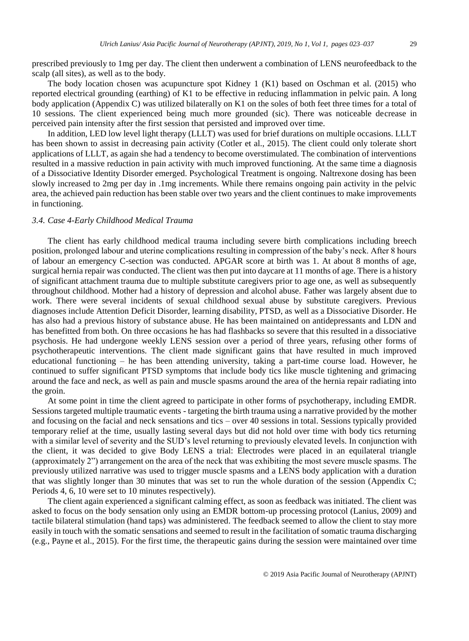prescribed previously to 1mg per day. The client then underwent a combination of LENS neurofeedback to the scalp (all sites), as well as to the body.

The body location chosen was acupuncture spot Kidney 1 (K1) based on Oschman et al. (2015) who reported electrical grounding (earthing) of K1 to be effective in reducing inflammation in pelvic pain. A long body application (Appendix C) was utilized bilaterally on K1 on the soles of both feet three times for a total of 10 sessions. The client experienced being much more grounded (sic). There was noticeable decrease in perceived pain intensity after the first session that persisted and improved over time.

In addition, LED low level light therapy (LLLT) was used for brief durations on multiple occasions. LLLT has been shown to assist in decreasing pain activity (Cotler et al., 2015). The client could only tolerate short applications of LLLT, as again she had a tendency to become overstimulated. The combination of interventions resulted in a massive reduction in pain activity with much improved functioning. At the same time a diagnosis of a Dissociative Identity Disorder emerged. Psychological Treatment is ongoing. Naltrexone dosing has been slowly increased to 2mg per day in .1mg increments. While there remains ongoing pain activity in the pelvic area, the achieved pain reduction has been stable over two years and the client continues to make improvements in functioning.

#### *3.4. Case 4-Early Childhood Medical Trauma*

The client has early childhood medical trauma including severe birth complications including breech position, prolonged labour and uterine complications resulting in compression of the baby's neck. After 8 hours of labour an emergency C-section was conducted. APGAR score at birth was 1. At about 8 months of age, surgical hernia repair was conducted. The client was then put into daycare at 11 months of age. There is a history of significant attachment trauma due to multiple substitute caregivers prior to age one, as well as subsequently throughout childhood. Mother had a history of depression and alcohol abuse. Father was largely absent due to work. There were several incidents of sexual childhood sexual abuse by substitute caregivers. Previous diagnoses include Attention Deficit Disorder, learning disability, PTSD, as well as a Dissociative Disorder. He has also had a previous history of substance abuse. He has been maintained on antidepressants and LDN and has benefitted from both. On three occasions he has had flashbacks so severe that this resulted in a dissociative psychosis. He had undergone weekly LENS session over a period of three years, refusing other forms of psychotherapeutic interventions. The client made significant gains that have resulted in much improved educational functioning – he has been attending university, taking a part-time course load. However, he continued to suffer significant PTSD symptoms that include body tics like muscle tightening and grimacing around the face and neck, as well as pain and muscle spasms around the area of the hernia repair radiating into the groin.

At some point in time the client agreed to participate in other forms of psychotherapy, including EMDR. Sessions targeted multiple traumatic events - targeting the birth trauma using a narrative provided by the mother and focusing on the facial and neck sensations and tics – over 40 sessions in total. Sessions typically provided temporary relief at the time, usually lasting several days but did not hold over time with body tics returning with a similar level of severity and the SUD's level returning to previously elevated levels. In conjunction with the client, it was decided to give Body LENS a trial: Electrodes were placed in an equilateral triangle (approximately 2") arrangement on the area of the neck that was exhibiting the most severe muscle spasms. The previously utilized narrative was used to trigger muscle spasms and a LENS body application with a duration that was slightly longer than 30 minutes that was set to run the whole duration of the session (Appendix C; Periods 4, 6, 10 were set to 10 minutes respectively).

The client again experienced a significant calming effect, as soon as feedback was initiated. The client was asked to focus on the body sensation only using an EMDR bottom-up processing protocol (Lanius, 2009) and tactile bilateral stimulation (hand taps) was administered. The feedback seemed to allow the client to stay more easily in touch with the somatic sensations and seemed to result in the facilitation of somatic trauma discharging (e.g., Payne et al., 2015). For the first time, the therapeutic gains during the session were maintained over time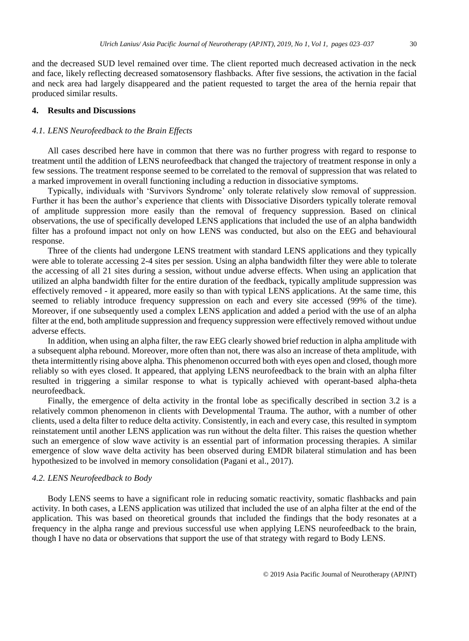and the decreased SUD level remained over time. The client reported much decreased activation in the neck and face, likely reflecting decreased somatosensory flashbacks. After five sessions, the activation in the facial and neck area had largely disappeared and the patient requested to target the area of the hernia repair that produced similar results.

#### **4. Results and Discussions**

#### *4.1. LENS Neurofeedback to the Brain Effects*

All cases described here have in common that there was no further progress with regard to response to treatment until the addition of LENS neurofeedback that changed the trajectory of treatment response in only a few sessions. The treatment response seemed to be correlated to the removal of suppression that was related to a marked improvement in overall functioning including a reduction in dissociative symptoms.

Typically, individuals with 'Survivors Syndrome' only tolerate relatively slow removal of suppression. Further it has been the author's experience that clients with Dissociative Disorders typically tolerate removal of amplitude suppression more easily than the removal of frequency suppression. Based on clinical observations, the use of specifically developed LENS applications that included the use of an alpha bandwidth filter has a profound impact not only on how LENS was conducted, but also on the EEG and behavioural response.

Three of the clients had undergone LENS treatment with standard LENS applications and they typically were able to tolerate accessing 2-4 sites per session. Using an alpha bandwidth filter they were able to tolerate the accessing of all 21 sites during a session, without undue adverse effects. When using an application that utilized an alpha bandwidth filter for the entire duration of the feedback, typically amplitude suppression was effectively removed - it appeared, more easily so than with typical LENS applications. At the same time, this seemed to reliably introduce frequency suppression on each and every site accessed (99% of the time). Moreover, if one subsequently used a complex LENS application and added a period with the use of an alpha filter at the end, both amplitude suppression and frequency suppression were effectively removed without undue adverse effects.

In addition, when using an alpha filter, the raw EEG clearly showed brief reduction in alpha amplitude with a subsequent alpha rebound. Moreover, more often than not, there was also an increase of theta amplitude, with theta intermittently rising above alpha. This phenomenon occurred both with eyes open and closed, though more reliably so with eyes closed. It appeared, that applying LENS neurofeedback to the brain with an alpha filter resulted in triggering a similar response to what is typically achieved with operant-based alpha-theta neurofeedback.

Finally, the emergence of delta activity in the frontal lobe as specifically described in section 3.2 is a relatively common phenomenon in clients with Developmental Trauma. The author, with a number of other clients, used a delta filter to reduce delta activity. Consistently, in each and every case, this resulted in symptom reinstatement until another LENS application was run without the delta filter. This raises the question whether such an emergence of slow wave activity is an essential part of information processing therapies. A similar emergence of slow wave delta activity has been observed during EMDR bilateral stimulation and has been hypothesized to be involved in memory consolidation (Pagani et al., 2017).

#### *4.2. LENS Neurofeedback to Body*

Body LENS seems to have a significant role in reducing somatic reactivity, somatic flashbacks and pain activity. In both cases, a LENS application was utilized that included the use of an alpha filter at the end of the application. This was based on theoretical grounds that included the findings that the body resonates at a frequency in the alpha range and previous successful use when applying LENS neurofeedback to the brain, though I have no data or observations that support the use of that strategy with regard to Body LENS.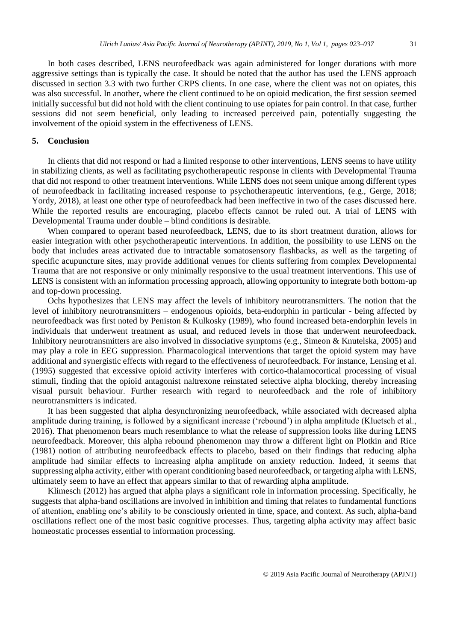In both cases described, LENS neurofeedback was again administered for longer durations with more aggressive settings than is typically the case. It should be noted that the author has used the LENS approach discussed in section 3.3 with two further CRPS clients. In one case, where the client was not on opiates, this was also successful. In another, where the client continued to be on opioid medication, the first session seemed initially successful but did not hold with the client continuing to use opiates for pain control. In that case, further sessions did not seem beneficial, only leading to increased perceived pain, potentially suggesting the involvement of the opioid system in the effectiveness of LENS.

#### **5. Conclusion**

In clients that did not respond or had a limited response to other interventions, LENS seems to have utility in stabilizing clients, as well as facilitating psychotherapeutic response in clients with Developmental Trauma that did not respond to other treatment interventions. While LENS does not seem unique among different types of neurofeedback in facilitating increased response to psychotherapeutic interventions, (e.g., Gerge, 2018; Yordy, 2018), at least one other type of neurofeedback had been ineffective in two of the cases discussed here. While the reported results are encouraging, placebo effects cannot be ruled out. A trial of LENS with Developmental Trauma under double – blind conditions is desirable.

When compared to operant based neurofeedback, LENS, due to its short treatment duration, allows for easier integration with other psychotherapeutic interventions. In addition, the possibility to use LENS on the body that includes areas activated due to intractable somatosensory flashbacks, as well as the targeting of specific acupuncture sites, may provide additional venues for clients suffering from complex Developmental Trauma that are not responsive or only minimally responsive to the usual treatment interventions. This use of LENS is consistent with an information processing approach, allowing opportunity to integrate both bottom-up and top-down processing.

Ochs hypothesizes that LENS may affect the levels of inhibitory neurotransmitters. The notion that the level of inhibitory neurotransmitters – endogenous opioids, beta-endorphin in particular - being affected by neurofeedback was first noted by Peniston & Kulkosky (1989), who found increased beta-endorphin levels in individuals that underwent treatment as usual, and reduced levels in those that underwent neurofeedback. Inhibitory neurotransmitters are also involved in dissociative symptoms (e.g., Simeon & Knutelska, 2005) and may play a role in EEG suppression. Pharmacological interventions that target the opioid system may have additional and synergistic effects with regard to the effectiveness of neurofeedback. For instance, Lensing et al. (1995) suggested that excessive opioid activity interferes with cortico-thalamocortical processing of visual stimuli, finding that the opioid antagonist naltrexone reinstated selective alpha blocking, thereby increasing visual pursuit behaviour. Further research with regard to neurofeedback and the role of inhibitory neurotransmitters is indicated.

It has been suggested that alpha desynchronizing neurofeedback, while associated with decreased alpha amplitude during training, is followed by a significant increase ('rebound') in alpha amplitude (Kluetsch et al., 2016). That phenomenon bears much resemblance to what the release of suppression looks like during LENS neurofeedback. Moreover, this alpha rebound phenomenon may throw a different light on Plotkin and Rice (1981) notion of attributing neurofeedback effects to placebo, based on their findings that reducing alpha amplitude had similar effects to increasing alpha amplitude on anxiety reduction. Indeed, it seems that suppressing alpha activity, either with operant conditioning based neurofeedback, or targeting alpha with LENS, ultimately seem to have an effect that appears similar to that of rewarding alpha amplitude.

Klimesch (2012) has argued that alpha plays a significant role in information processing. Specifically, he suggests that alpha-band oscillations are involved in inhibition and timing that relates to fundamental functions of attention, enabling one's ability to be consciously oriented in time, space, and context. As such, alpha-band oscillations reflect one of the most basic cognitive processes. Thus, targeting alpha activity may affect basic homeostatic processes essential to information processing.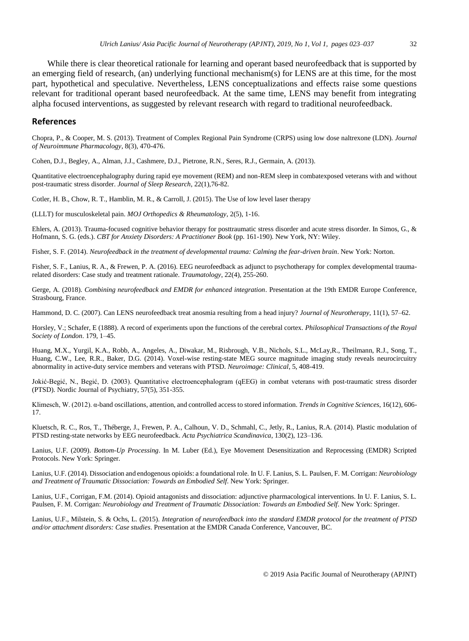While there is clear theoretical rationale for learning and operant based neurofeedback that is supported by an emerging field of research, (an) underlying functional mechanism(s) for LENS are at this time, for the most part, hypothetical and speculative. Nevertheless, LENS conceptualizations and effects raise some questions relevant for traditional operant based neurofeedback. At the same time, LENS may benefit from integrating alpha focused interventions, as suggested by relevant research with regard to traditional neurofeedback.

#### **References**

Chopra, P., & Cooper, M. S. (2013). Treatment of Complex Regional Pain Syndrome (CRPS) using low dose naltrexone (LDN). *Journal of Neuroimmune Pharmacology*, 8(3), 470-476.

Cohen, D.J., Begley, A., Alman, J.J., Cashmere, D.J., Pietrone, R.N., Seres, R.J., Germain, A. (2013).

Quantitative electroencephalography during rapid eye movement (REM) and non-REM sleep in combatexposed veterans with and without post-traumatic stress disorder. *Journal of Sleep Research*, 22(1),76-82.

Cotler, H. B., Chow, R. T., Hamblin, M. R., & Carroll, J. (2015). The Use of low level laser therapy

(LLLT) for musculoskeletal pain. *MOJ Orthopedics & Rheumatology*, 2(5), 1-16.

Ehlers, A. (2013). Trauma-focused cognitive behavior therapy for posttraumatic stress disorder and acute stress disorder. In Simos, G., & Hofmann, S. G. (eds.). *CBT for Anxiety Disorders: A Practitioner Book* (pp. 161-190). New York, NY: Wiley.

Fisher, S. F. (2014). *Neurofeedback in the treatment of developmental trauma: Calming the fear-driven brain*. New York: Norton.

Fisher, S. F., Lanius, R. A., & Frewen, P. A. (2016). EEG neurofeedback as adjunct to psychotherapy for complex developmental traumarelated disorders: Case study and treatment rationale. *Traumatology*, 22(4), 255-260.

Gerge, A. (2018). *Combining neurofeedback and EMDR for enhanced integration*. Presentation at the 19th EMDR Europe Conference, Strasbourg, France.

Hammond, D. C. (2007). Can LENS neurofeedback treat anosmia resulting from a head injury? *Journal of Neurotherapy*, 11(1), 57–62.

Horsley, V.; Schafer, E (1888). A record of experiments upon the functions of the cerebral cortex. *Philosophical Transactions of the Royal Society of London*. 179, 1–45.

Huang, M.X., Yurgil, K.A., Robb, A., Angeles, A., Diwakar, M., Risbrough, V.B., Nichols, S.L., McLay,R., Theilmann, R.J., Song, T., Huang, C.W., Lee, R.R., Baker, D.G. (2014). Voxel-wise resting-state MEG source magnitude imaging study reveals neurocircuitry abnormality in active-duty service members and veterans with PTSD. *Neuroimage: Clinical*, 5, 408-419.

Jokić-Begić, N., Begić, D. (2003). Quantitative electroencephalogram (qEEG) in combat veterans with post-traumatic stress disorder (PTSD). Nordic Journal of Psychiatry, 57(5), 351-355.

Klimesch, W. (2012). α-band oscillations, attention, and controlled access to stored information. *Trends in Cognitive Sciences*, 16(12), 606- 17.

Kluetsch, R. C., Ros, T., Théberge, J., Frewen, P. A., Calhoun, V. D., Schmahl, C., Jetly, R., Lanius, R.A. (2014). Plastic modulation of PTSD resting-state networks by EEG neurofeedback. *Acta Psychiatrica Scandinavica*, 130(2), 123–136.

Lanius, U.F. (2009). *Bottom-Up Processing*. In M. Luber (Ed.), Eye Movement Desensitization and Reprocessing (EMDR) Scripted Protocols. New York: Springer.

Lanius, U.F. (2014). Dissociation and endogenous opioids: a foundational role. In U. F. Lanius, S. L. Paulsen, F. M. Corrigan: *Neurobiology and Treatment of Traumatic Dissociation: Towards an Embodied Self*. New York: Springer.

Lanius, U.F., Corrigan, F.M. (2014). Opioid antagonists and dissociation: adjunctive pharmacological interventions. In U. F. Lanius, S. L. Paulsen, F. M. Corrigan: *Neurobiology and Treatment of Traumatic Dissociation: Towards an Embodied Self*. New York: Springer.

Lanius, U.F., Milstein, S. & Ochs, L. (2015). *Integration of neurofeedback into the standard EMDR protocol for the treatment of PTSD and/or attachment disorders: Case studies*. Presentation at the EMDR Canada Conference, Vancouver, BC.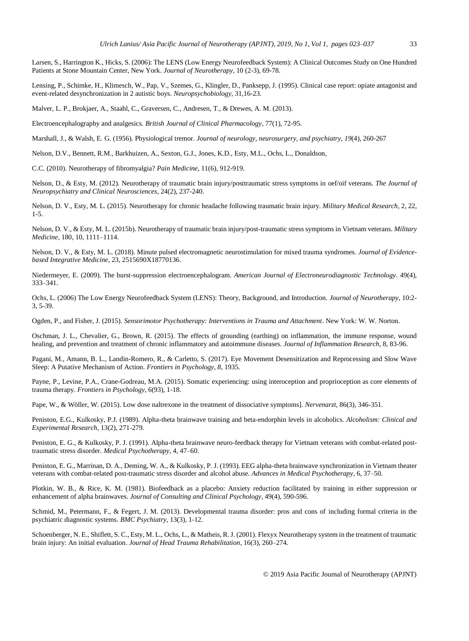Larsen, S., Harrington K., Hicks, S. (2006): The LENS (Low Energy Neurofeedback System): A Clinical Outcomes Study on One Hundred Patients at Stone Mountain Center, New York. *Journal of Neurotherapy*, 10 (2-3), 69-78.

Lensing, P., Schimke, H., Klimesch, W., Pap, V., Szemes, G., Klingler, D., Panksepp, J. (1995). Clinical case report: opiate antagonist and event-related desynchronization in 2 autistic boys. *Neuropsychobiology*, 31,16-23.

Malver, L. P., Brokjaer, A., Staahl, C., Graversen, C., Andresen, T., & Drewes, A. M. (2013).

Electroencephalography and analgesics. *British Journal of Clinical Pharmacology*, 77(1), 72-95.

Marshall, J., & Walsh, E. G. (1956). Physiological tremor. *Journal of neurology, neurosurgery, and psychiatry*, *19*(4), 260-267

Nelson, D.V., Bennett, R.M., Barkhuizen, A., Sexton, G.J., Jones, K.D., Esty, M.L., Ochs, L., Donaldson,

C.C. (2010). Neurotherapy of fibromyalgia? *Pain Medicine*, 11(6), 912-919.

Nelson, D., & Esty, M. (2012). Neurotherapy of traumatic brain injury/posttraumatic stress symptoms in oef/oif veterans. *The Journal of Neuropsychiatry and Clinical Neurosciences*, 24(2), 237-240.

Nelson, D. V., Esty, M. L. (2015). Neurotherapy for chronic headache following traumatic brain injury. *Military Medical Research*, 2, 22, 1-5.

Nelson, D. V., & Esty, M. L. (2015b). Neurotherapy of traumatic brain injury/post-traumatic stress symptoms in Vietnam veterans. *Military Medicine*, 180, 10, 1111–1114.

Nelson, D. V., & Esty, M. L. (2018). Minute pulsed electromagnetic neurostimulation for mixed trauma syndromes. *Journal of Evidencebased Integrative Medicine*, 23, 2515690X18770136.

Niedermeyer, E. (2009). The burst-suppression electroencephalogram. *American Journal of Electroneurodiagnostic Technology*. 49(4), 333–341.

Ochs, L. (2006) The Low Energy Neurofeedback System (LENS): Theory, Background, and Introduction. *Journal of Neurotherapy*, 10:2- 3, 5-39.

Ogden, P., and Fisher, J. (2015). *Sensorimotor Psychotherapy: Interventions in Trauma and Attachment*. New York: W. W. Norton.

Oschman, J. L., Chevalier, G., Brown, R. (2015). The effects of grounding (earthing) on inflammation, the immune response, wound healing, and prevention and treatment of chronic inflammatory and autoimmune diseases. *Journal of Inflammation Research*, 8, 83-96.

Pagani, M., Amann, B. L., Landin-Romero, R., & Carletto, S. (2017). Eye Movement Desensitization and Reprocessing and Slow Wave Sleep: A Putative Mechanism of Action. *Frontiers in Psychology*, *8*, 1935.

Payne, P., Levine, P.A., Crane-Godreau, M.A. (2015). Somatic experiencing: using interoception and proprioception as core elements of trauma therapy. *Frontiers in Psychology*, 6(93), 1-18.

Pape, W., & Wöller, W. (2015). Low dose naltrexone in the treatment of dissociative symptoms]. *Nervenarzt*, 86(3), 346-351.

Peniston, E.G., Kulkosky, P.J. (1989). Alpha-theta brainwave training and beta-endorphin levels in alcoholics. *Alcoholism: Clinical and Experimental Research*, 13(2), 271-279.

Peniston, E. G., & Kulkosky, P. J. (1991). Alpha-theta brainwave neuro-feedback therapy for Vietnam veterans with combat-related posttraumatic stress disorder. *Medical Psychotherapy*, 4, 47–60.

Peniston, E. G., Marrinan, D. A., Deming, W. A., & Kulkosky, P. J. (1993). EEG alpha-theta brainwave synchronization in Vietnam theater veterans with combat-related post-traumatic stress disorder and alcohol abuse. *Advances in Medical Psychotherapy*, 6, 37–50.

Plotkin, W. B., & Rice, K. M. (1981). Biofeedback as a placebo: Anxiety reduction facilitated by training in either suppression or enhancement of alpha brainwaves. *Journal of Consulting and Clinical Psychology*, 49(4), 590-596.

Schmid, M., Petermann, F., & Fegert, J. M. (2013). Developmental trauma disorder: pros and cons of including formal criteria in the psychiatric diagnostic systems. *BMC Psychiatry*, 13(3), 1-12.

Schoenberger, N. E., Shiflett, S. C., Esty, M. L., Ochs, L., & Matheis, R. J. (2001). Flexyx Neurotherapy system in the treatment of traumatic brain injury: An initial evaluation. *Journal of Head Trauma Rehabilitation*, 16(3), 260–274.

© 2019 Asia Pacific Journal of Neurotherapy (APJNT)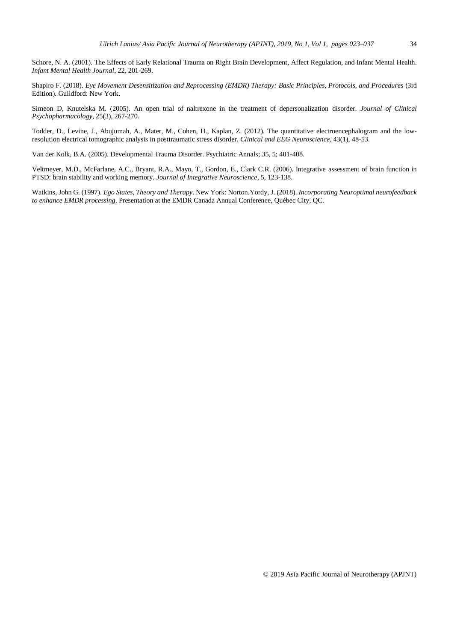Shapiro F. (2018). *Eye Movement Desensitization and Reprocessing (EMDR) Therapy: Basic Principles, Protocols, and Procedures* (3rd Edition). Guildford: New York.

Simeon D, Knutelska M. (2005). An open trial of naltrexone in the treatment of depersonalization disorder. *Journal of Clinical Psychopharmacology*, 25(3), 267-270.

Todder, D., Levine, J., Abujumah, A., Mater, M., Cohen, H., Kaplan, Z. (2012). The quantitative electroencephalogram and the lowresolution electrical tomographic analysis in posttraumatic stress disorder. *Clinical and EEG Neuroscience*, 43(1), 48-53.

Van der Kolk, B.A. (2005). Developmental Trauma Disorder. Psychiatric Annals; 35, 5; 401-408.

Veltmeyer, M.D., McFarlane, A.C., Bryant, R.A., Mayo, T., Gordon, E., Clark C.R. (2006). Integrative assessment of brain function in PTSD: brain stability and working memory. *Journal of Integrative Neuroscience*, 5, 123-138.

Watkins, John G. (1997). *Ego States, Theory and Therapy*. New York: Norton.Yordy, J. (2018). *Incorporating Neuroptimal neurofeedback to enhance EMDR processing*. Presentation at the EMDR Canada Annual Conference, Québec City, QC.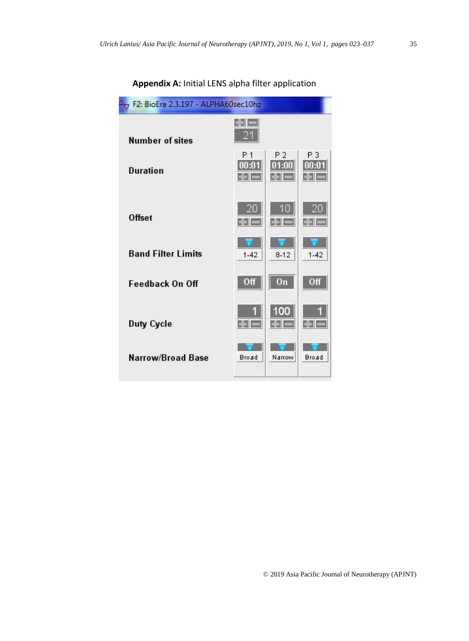| F2: BioEra 2.3.197 - ALPHA60sec10hz |                                  |                       |              |  |  |  |  |  |
|-------------------------------------|----------------------------------|-----------------------|--------------|--|--|--|--|--|
| <b>Number of sites</b>              | EEL<br>21                        |                       |              |  |  |  |  |  |
| Duration                            | P <sub>1</sub><br> 00:01 <br>631 | P 2<br>01:00<br>ele H | P 3<br>00:01 |  |  |  |  |  |
| <b>Offset</b>                       | E S C                            | 画目                    | C 3 1        |  |  |  |  |  |
| <b>Band Filter Limits</b>           | $1 - 42$                         | $8-12$                | $1 - 42$     |  |  |  |  |  |
| <b>Feedback On Off</b>              | Off                              | $_{0n}$               | Off          |  |  |  |  |  |
| <b>Duty Cycle</b>                   | 63                               | 100                   | C 31         |  |  |  |  |  |
| <b>Narrow/Broad Base</b>            | <b>Broad</b>                     | Narrow                | <b>Broad</b> |  |  |  |  |  |

# **Appendix A:** Initial LENS alpha filter application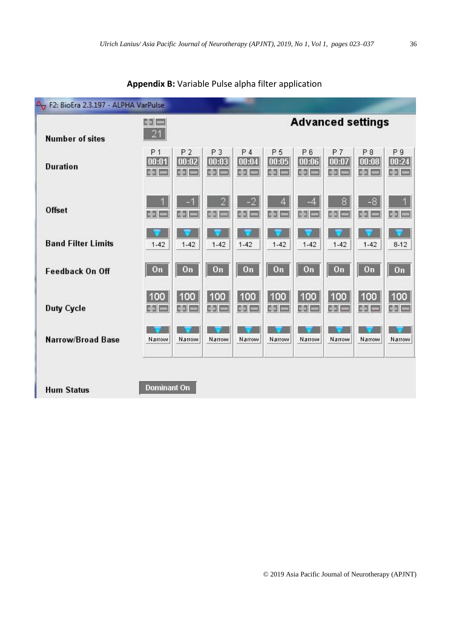| F2: BioEra 2.3.197 - ALPHA VarPulse |                               |                               |                                                          |                               |                                           |                               |                        |                       |                                 |
|-------------------------------------|-------------------------------|-------------------------------|----------------------------------------------------------|-------------------------------|-------------------------------------------|-------------------------------|------------------------|-----------------------|---------------------------------|
| <b>Number of sites</b>              | $+ -$<br>21                   | <b>Advanced settings</b>      |                                                          |                               |                                           |                               |                        |                       |                                 |
| <b>Duration</b>                     | P <sub>1</sub><br>00:01<br>비디 | P <sub>2</sub><br>00:02<br>南一 | P <sub>3</sub><br> 00:03 <br>$\frac{1}{2}$ $\frac{1}{2}$ | P <sub>4</sub><br>00:04<br>바르 | P <sub>5</sub><br>00:05<br>$\mathbf{H} =$ | P <sub>6</sub><br>00:06<br>南南 | P7<br>00:07<br>中一      | P8<br> 00:08 <br>비미   | P <sub>9</sub><br>00:24<br>صرده |
| <b>Offset</b>                       | 開口                            | <b>ESI</b>                    | $\overline{2}$<br><b>CSI CO</b>                          | $-2$<br>$\Rightarrow$ $=$     | 4<br>$\left  \cdot \right  =$             | $-4$<br><b>中</b>              | 8<br><b>Part Lease</b> | $-8$<br>$\frac{1}{2}$ | 4<br>E2E                        |
| <b>Band Filter Limits</b>           | $1 - 42$                      | $1 - 42$                      | $1 - 42$                                                 | $1 - 42$                      | $1 - 42$                                  | $1 - 42$                      | $1 - 42$               | $1 - 42$              | $8-12$                          |
| <b>Feedback On Off</b>              | On                            | On                            | On                                                       | On                            | On                                        | On                            | On                     | On                    | On                              |
| <b>Duty Cycle</b>                   | 100<br>me                     | 100<br>$+ -$                  | 100<br><b>Spi</b> =                                      | 100<br>HE                     | 100<br>HE                                 | 100<br>中国                     | 100<br>de las          | 100<br>H –            | 100<br>리드                       |
| Narrow/Broad Base                   | Narrow                        | Narrow                        | Narrow                                                   | Narrow                        | Narrow                                    | Narrow                        | Narrow                 | Narrow                | Narrow                          |
|                                     |                               |                               |                                                          |                               |                                           |                               |                        |                       |                                 |
| <b>Hum Status</b>                   | <b>Dominant On</b>            |                               |                                                          |                               |                                           |                               |                        |                       |                                 |

### **Appendix B:** Variable Pulse alpha filter application